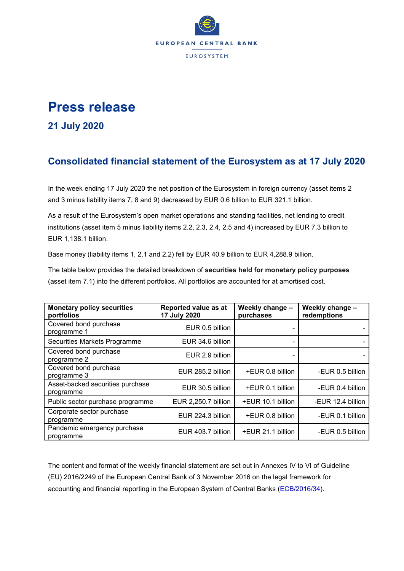

## **Press release**

## **21 July 2020**

## **Consolidated financial statement of the Eurosystem as at 17 July 2020**

In the week ending 17 July 2020 the net position of the Eurosystem in foreign currency (asset items 2 and 3 minus liability items 7, 8 and 9) decreased by EUR 0.6 billion to EUR 321.1 billion.

As a result of the Eurosystem's open market operations and standing facilities, net lending to credit institutions (asset item 5 minus liability items 2.2, 2.3, 2.4, 2.5 and 4) increased by EUR 7.3 billion to EUR 1,138.1 billion.

Base money (liability items 1, 2.1 and 2.2) fell by EUR 40.9 billion to EUR 4,288.9 billion.

The table below provides the detailed breakdown of **securities held for monetary policy purposes** (asset item 7.1) into the different portfolios. All portfolios are accounted for at amortised cost.

| <b>Monetary policy securities</b><br>portfolios | Reported value as at<br>17 July 2020 | Weekly change -<br>purchases | Weekly change -<br>redemptions |
|-------------------------------------------------|--------------------------------------|------------------------------|--------------------------------|
| Covered bond purchase<br>programme 1            | EUR 0.5 billion                      |                              |                                |
| Securities Markets Programme                    | EUR 34.6 billion                     |                              |                                |
| Covered bond purchase<br>programme 2            | EUR 2.9 billion                      |                              |                                |
| Covered bond purchase<br>programme 3            | EUR 285.2 billion                    | +EUR 0.8 billion             | -EUR 0.5 billion               |
| Asset-backed securities purchase<br>programme   | EUR 30.5 billion                     | +EUR 0.1 billion             | -EUR 0.4 billion               |
| Public sector purchase programme                | EUR 2,250.7 billion                  | +EUR 10.1 billion            | -EUR 12.4 billion              |
| Corporate sector purchase<br>programme          | EUR 224.3 billion                    | +EUR 0.8 billion             | -EUR 0.1 billion               |
| Pandemic emergency purchase<br>programme        | EUR 403.7 billion                    | +EUR 21.1 billion            | -EUR 0.5 billion               |

The content and format of the weekly financial statement are set out in Annexes IV to VI of Guideline (EU) 2016/2249 of the European Central Bank of 3 November 2016 on the legal framework for accounting and financial reporting in the European System of Central Banks [\(ECB/2016/34\)](http://www.ecb.europa.eu/ecb/legal/1001/1012/html/index.en.html).